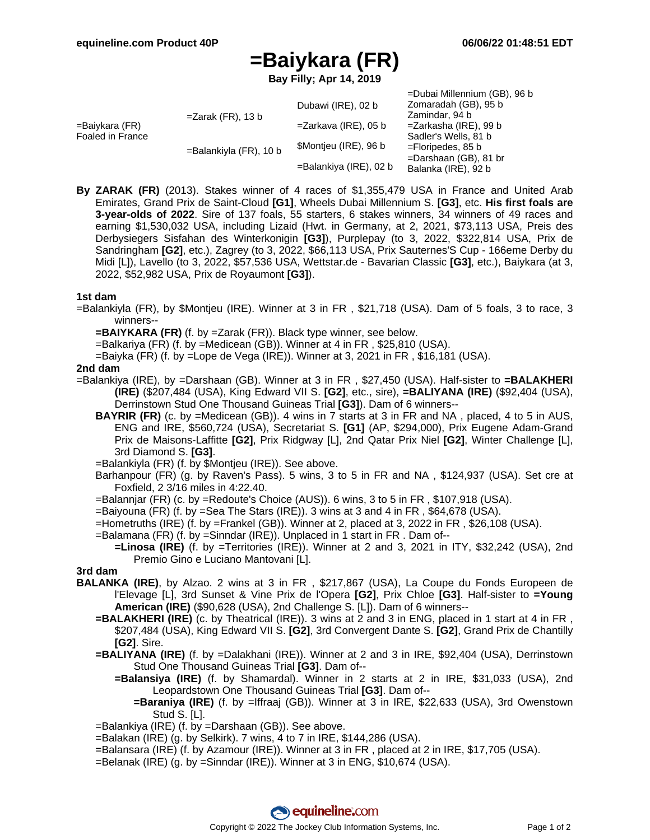=Dubai Millennium (GB), 96 b

# **=Baiykara (FR)**

**Bay Filly; Apr 14, 2019**

|                                    |                           | Dubawi (IRE), 02 b     | $=$ Ludal Millerinium (OD), 90 D<br>Zomaradah (GB), 95 b |
|------------------------------------|---------------------------|------------------------|----------------------------------------------------------|
| =Baiykara (FR)<br>Foaled in France | $=Z$ arak (FR), 13 b      |                        | Zamindar, 94 b                                           |
|                                    |                           | =Zarkava (IRE), 05 b   | =Zarkasha (IRE), 99 b                                    |
|                                    | $=$ Balankiyla (FR), 10 b | \$Montjeu (IRE), 96 b  | Sadler's Wells, 81 b                                     |
|                                    |                           |                        | $=$ Floripedes, 85 b                                     |
|                                    |                           | =Balankiya (IRE), 02 b | $=$ Darshaan (GB), 81 br                                 |
|                                    |                           |                        | Balanka (IRE), 92 b                                      |

**By ZARAK (FR)** (2013). Stakes winner of 4 races of \$1,355,479 USA in France and United Arab Emirates, Grand Prix de Saint-Cloud **[G1]**, Wheels Dubai Millennium S. **[G3]**, etc. **His first foals are 3-year-olds of 2022**. Sire of 137 foals, 55 starters, 6 stakes winners, 34 winners of 49 races and earning \$1,530,032 USA, including Lizaid (Hwt. in Germany, at 2, 2021, \$73,113 USA, Preis des Derbysiegers Sisfahan des Winterkonigin **[G3]**), Purplepay (to 3, 2022, \$322,814 USA, Prix de Sandringham **[G2]**, etc.), Zagrey (to 3, 2022, \$66,113 USA, Prix Sauternes'S Cup - 166eme Derby du Midi [L]), Lavello (to 3, 2022, \$57,536 USA, Wettstar.de - Bavarian Classic **[G3]**, etc.), Baiykara (at 3, 2022, \$52,982 USA, Prix de Royaumont **[G3]**).

## **1st dam**

=Balankiyla (FR), by \$Montjeu (IRE). Winner at 3 in FR , \$21,718 (USA). Dam of 5 foals, 3 to race, 3 winners--

**=BAIYKARA (FR)** (f. by =Zarak (FR)). Black type winner, see below.

- =Balkariya (FR) (f. by =Medicean (GB)). Winner at 4 in FR , \$25,810 (USA).
- =Baiyka (FR) (f. by =Lope de Vega (IRE)). Winner at 3, 2021 in FR , \$16,181 (USA).

## **2nd dam**

- =Balankiya (IRE), by =Darshaan (GB). Winner at 3 in FR , \$27,450 (USA). Half-sister to **=BALAKHERI (IRE)** (\$207,484 (USA), King Edward VII S. **[G2]**, etc., sire), **=BALIYANA (IRE)** (\$92,404 (USA), Derrinstown Stud One Thousand Guineas Trial **[G3]**). Dam of 6 winners--
	- **BAYRIR (FR)** (c. by =Medicean (GB)). 4 wins in 7 starts at 3 in FR and NA , placed, 4 to 5 in AUS, ENG and IRE, \$560,724 (USA), Secretariat S. **[G1]** (AP, \$294,000), Prix Eugene Adam-Grand Prix de Maisons-Laffitte **[G2]**, Prix Ridgway [L], 2nd Qatar Prix Niel **[G2]**, Winter Challenge [L], 3rd Diamond S. **[G3]**.

=Balankiyla (FR) (f. by \$Montjeu (IRE)). See above.

- Barhanpour (FR) (g. by Raven's Pass). 5 wins, 3 to 5 in FR and NA , \$124,937 (USA). Set cre at Foxfield, 2 3/16 miles in 4:22.40.
- =Balannjar (FR) (c. by =Redoute's Choice (AUS)). 6 wins, 3 to 5 in FR , \$107,918 (USA).
- =Baiyouna (FR) (f. by =Sea The Stars (IRE)). 3 wins at 3 and 4 in FR , \$64,678 (USA).
- =Hometruths (IRE) (f. by =Frankel (GB)). Winner at 2, placed at 3, 2022 in FR , \$26,108 (USA).
- =Balamana (FR) (f. by =Sinndar (IRE)). Unplaced in 1 start in FR . Dam of--
	- **=Linosa (IRE)** (f. by =Territories (IRE)). Winner at 2 and 3, 2021 in ITY, \$32,242 (USA), 2nd Premio Gino e Luciano Mantovani [L].

#### **3rd dam**

- **BALANKA (IRE)**, by Alzao. 2 wins at 3 in FR , \$217,867 (USA), La Coupe du Fonds Europeen de l'Elevage [L], 3rd Sunset & Vine Prix de l'Opera **[G2]**, Prix Chloe **[G3]**. Half-sister to **=Young American (IRE)** (\$90,628 (USA), 2nd Challenge S. [L]). Dam of 6 winners--
	- **=BALAKHERI (IRE)** (c. by Theatrical (IRE)). 3 wins at 2 and 3 in ENG, placed in 1 start at 4 in FR , \$207,484 (USA), King Edward VII S. **[G2]**, 3rd Convergent Dante S. **[G2]**, Grand Prix de Chantilly **[G2]**. Sire.
	- **=BALIYANA (IRE)** (f. by =Dalakhani (IRE)). Winner at 2 and 3 in IRE, \$92,404 (USA), Derrinstown Stud One Thousand Guineas Trial **[G3]**. Dam of--
		- **=Balansiya (IRE)** (f. by Shamardal). Winner in 2 starts at 2 in IRE, \$31,033 (USA), 2nd Leopardstown One Thousand Guineas Trial **[G3]**. Dam of--
			- **=Baraniya (IRE)** (f. by =Iffraaj (GB)). Winner at 3 in IRE, \$22,633 (USA), 3rd Owenstown Stud S. [L].
	- =Balankiya (IRE) (f. by =Darshaan (GB)). See above.
	- =Balakan (IRE) (g. by Selkirk). 7 wins, 4 to 7 in IRE, \$144,286 (USA).
	- =Balansara (IRE) (f. by Azamour (IRE)). Winner at 3 in FR , placed at 2 in IRE, \$17,705 (USA).
	- =Belanak (IRE) (g. by =Sinndar (IRE)). Winner at 3 in ENG, \$10,674 (USA).